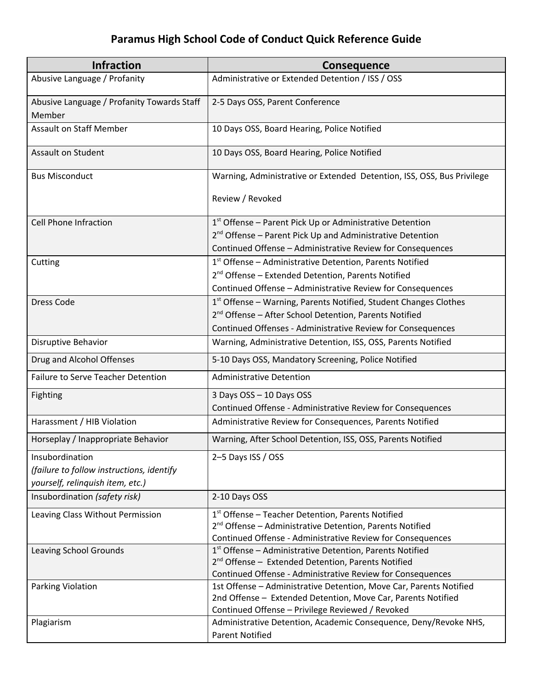## **Paramus High School Code of Conduct Quick Reference Guide**

| <b>Infraction</b>                                    | <b>Consequence</b>                                                                                                               |
|------------------------------------------------------|----------------------------------------------------------------------------------------------------------------------------------|
| Abusive Language / Profanity                         | Administrative or Extended Detention / ISS / OSS                                                                                 |
| Abusive Language / Profanity Towards Staff<br>Member | 2-5 Days OSS, Parent Conference                                                                                                  |
| <b>Assault on Staff Member</b>                       | 10 Days OSS, Board Hearing, Police Notified                                                                                      |
| <b>Assault on Student</b>                            | 10 Days OSS, Board Hearing, Police Notified                                                                                      |
| <b>Bus Misconduct</b>                                | Warning, Administrative or Extended Detention, ISS, OSS, Bus Privilege                                                           |
|                                                      | Review / Revoked                                                                                                                 |
| <b>Cell Phone Infraction</b>                         | 1st Offense - Parent Pick Up or Administrative Detention                                                                         |
|                                                      | 2 <sup>nd</sup> Offense - Parent Pick Up and Administrative Detention                                                            |
|                                                      | Continued Offense - Administrative Review for Consequences                                                                       |
| Cutting                                              | 1st Offense - Administrative Detention, Parents Notified                                                                         |
|                                                      | 2 <sup>nd</sup> Offense - Extended Detention, Parents Notified                                                                   |
|                                                      | Continued Offense - Administrative Review for Consequences                                                                       |
| <b>Dress Code</b>                                    | 1st Offense - Warning, Parents Notified, Student Changes Clothes                                                                 |
|                                                      | 2 <sup>nd</sup> Offense - After School Detention, Parents Notified                                                               |
|                                                      | Continued Offenses - Administrative Review for Consequences                                                                      |
| Disruptive Behavior                                  | Warning, Administrative Detention, ISS, OSS, Parents Notified                                                                    |
| Drug and Alcohol Offenses                            | 5-10 Days OSS, Mandatory Screening, Police Notified                                                                              |
| <b>Failure to Serve Teacher Detention</b>            | <b>Administrative Detention</b>                                                                                                  |
| Fighting                                             | 3 Days OSS - 10 Days OSS                                                                                                         |
|                                                      | Continued Offense - Administrative Review for Consequences                                                                       |
| Harassment / HIB Violation                           | Administrative Review for Consequences, Parents Notified                                                                         |
| Horseplay / Inappropriate Behavior                   | Warning, After School Detention, ISS, OSS, Parents Notified                                                                      |
| Insubordination                                      | 2-5 Days ISS / OSS                                                                                                               |
| (failure to follow instructions, identify            |                                                                                                                                  |
| yourself, relinquish item, etc.)                     |                                                                                                                                  |
| Insubordination (safety risk)                        | 2-10 Days OSS                                                                                                                    |
| Leaving Class Without Permission                     | 1 <sup>st</sup> Offense - Teacher Detention, Parents Notified                                                                    |
|                                                      | 2 <sup>nd</sup> Offense - Administrative Detention, Parents Notified                                                             |
|                                                      | Continued Offense - Administrative Review for Consequences                                                                       |
| Leaving School Grounds                               | $1st$ Offense – Administrative Detention, Parents Notified                                                                       |
|                                                      | 2 <sup>nd</sup> Offense - Extended Detention, Parents Notified                                                                   |
| Parking Violation                                    | Continued Offense - Administrative Review for Consequences<br>1st Offense - Administrative Detention, Move Car, Parents Notified |
|                                                      | 2nd Offense - Extended Detention, Move Car, Parents Notified                                                                     |
|                                                      | Continued Offense - Privilege Reviewed / Revoked                                                                                 |
| Plagiarism                                           | Administrative Detention, Academic Consequence, Deny/Revoke NHS,                                                                 |
|                                                      | <b>Parent Notified</b>                                                                                                           |